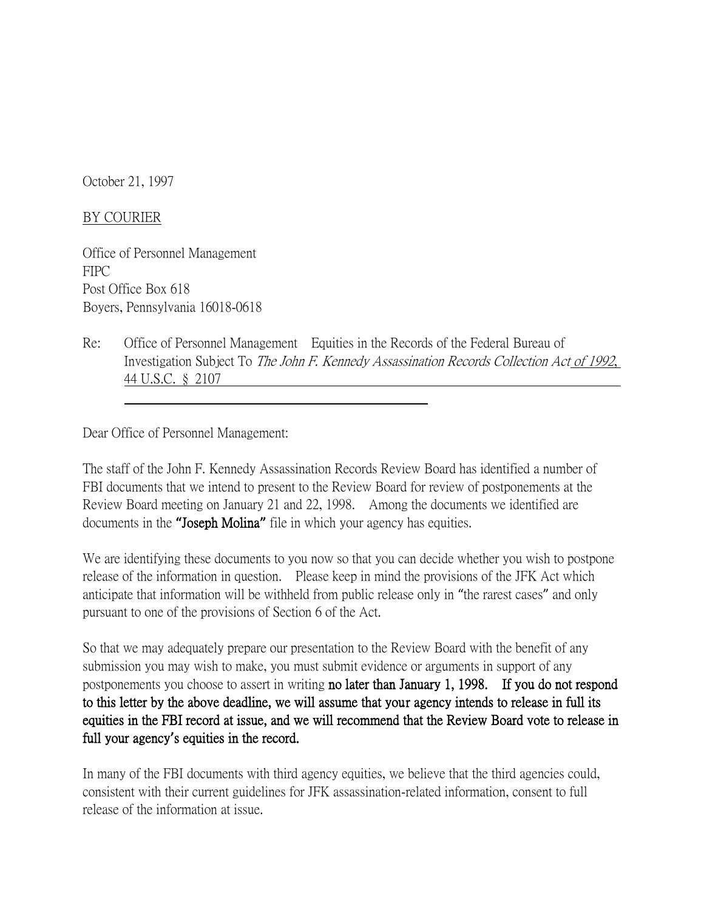October 21, 1997

## BY COURIER

Office of Personnel Management FIPC Post Office Box 618 Boyers, Pennsylvania 16018-0618

Re: Office of Personnel Management Equities in the Records of the Federal Bureau of Investigation Subject To The John F. Kennedy Assassination Records Collection Act of 1992, 44 U.S.C. § 2107

Dear Office of Personnel Management:

The staff of the John F. Kennedy Assassination Records Review Board has identified a number of FBI documents that we intend to present to the Review Board for review of postponements at the Review Board meeting on January 21 and 22, 1998. Among the documents we identified are documents in the **"**Joseph Molina**"** file in which your agency has equities.

We are identifying these documents to you now so that you can decide whether you wish to postpone release of the information in question. Please keep in mind the provisions of the JFK Act which anticipate that information will be withheld from public release only in "the rarest cases" and only pursuant to one of the provisions of Section 6 of the Act.

So that we may adequately prepare our presentation to the Review Board with the benefit of any submission you may wish to make, you must submit evidence or arguments in support of any postponements you choose to assert in writing no later than January 1, 1998. If you do not respond to this letter by the above deadline, we will assume that your agency intends to release in full its equities in the FBI record at issue, and we will recommend that the Review Board vote to release in full your agency**'**s equities in the record.

In many of the FBI documents with third agency equities, we believe that the third agencies could, consistent with their current guidelines for JFK assassination-related information, consent to full release of the information at issue.